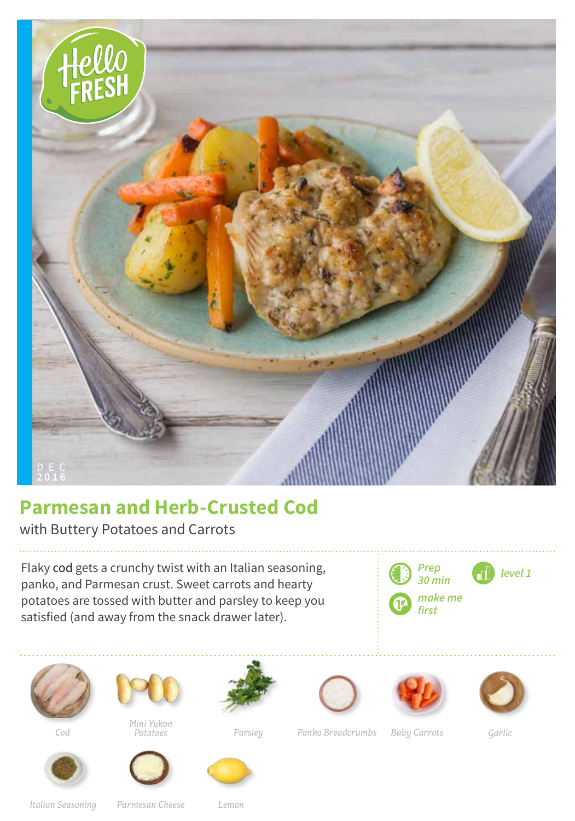

## **Parmesan and Herb-Crusted Cod**

with Buttery Potatoes and Carrots

Flaky cod gets a crunchy twist with an Italian seasoning, panko, and Parmesan crust. Sweet carrots and hearty potatoes are tossed with butter and parsley to keep you satisfied (and away from the snack drawer later).







*Mini Yukon Potatoes*

















*Cod Parsley Panko Breadcrumbs Garlic*

*Baby Carrots*

*Italian Seasoning Parmesan Cheese*

*Lemon*